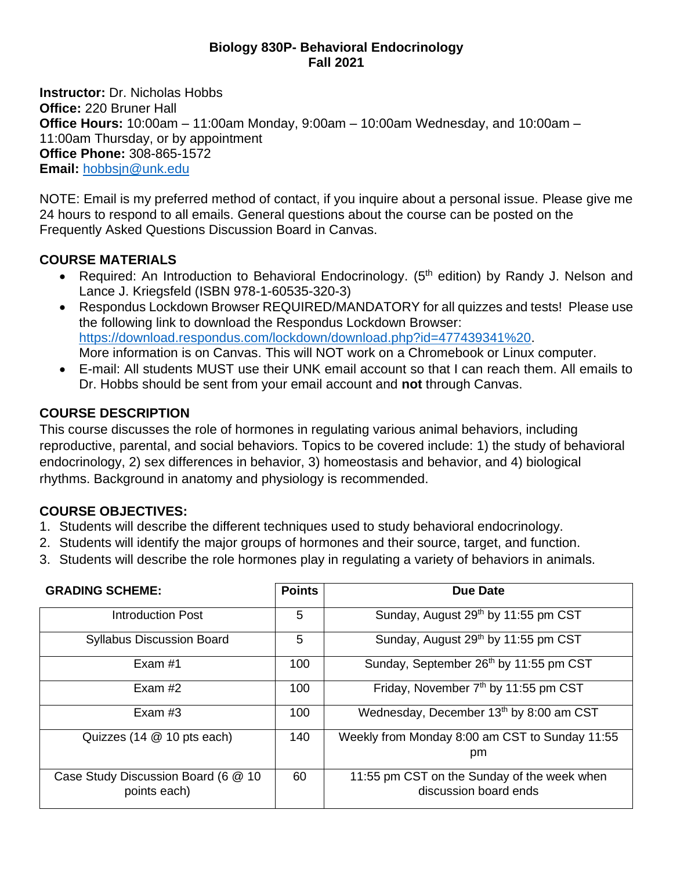#### **Biology 830P- Behavioral Endocrinology Fall 2021**

**Instructor:** Dr. Nicholas Hobbs **Office:** 220 Bruner Hall **Office Hours:** 10:00am – 11:00am Monday, 9:00am – 10:00am Wednesday, and 10:00am – 11:00am Thursday, or by appointment **Office Phone:** 308-865-1572 **Email:** [hobbsjn@unk.edu](mailto:hobbsjn@unk.edu)

NOTE: Email is my preferred method of contact, if you inquire about a personal issue. Please give me 24 hours to respond to all emails. General questions about the course can be posted on the Frequently Asked Questions Discussion Board in Canvas.

## **COURSE MATERIALS**

- Required: An Introduction to Behavioral Endocrinology. (5<sup>th</sup> edition) by Randy J. Nelson and Lance J. Kriegsfeld (ISBN 978-1-60535-320-3)
- Respondus Lockdown Browser REQUIRED/MANDATORY for all quizzes and tests! Please use the following link to download the Respondus Lockdown Browser: [https://download.respondus.com/lockdown/download.php?id=477439341%20.](https://download.respondus.com/lockdown/download.php?id=477439341%20) More information is on Canvas. This will NOT work on a Chromebook or Linux computer.
- E-mail: All students MUST use their UNK email account so that I can reach them. All emails to Dr. Hobbs should be sent from your email account and **not** through Canvas.

## **COURSE DESCRIPTION**

This course discusses the role of hormones in regulating various animal behaviors, including reproductive, parental, and social behaviors. Topics to be covered include: 1) the study of behavioral endocrinology, 2) sex differences in behavior, 3) homeostasis and behavior, and 4) biological rhythms. Background in anatomy and physiology is recommended.

### **COURSE OBJECTIVES:**

- 1. Students will describe the different techniques used to study behavioral endocrinology.
- 2. Students will identify the major groups of hormones and their source, target, and function.
- 3. Students will describe the role hormones play in regulating a variety of behaviors in animals.

| <b>GRADING SCHEME:</b>                              | <b>Points</b> | Due Date                                                             |
|-----------------------------------------------------|---------------|----------------------------------------------------------------------|
| Introduction Post                                   | 5             | Sunday, August 29th by 11:55 pm CST                                  |
| <b>Syllabus Discussion Board</b>                    | 5             | Sunday, August 29th by 11:55 pm CST                                  |
| Exam $#1$                                           | 100           | Sunday, September 26th by 11:55 pm CST                               |
| Exam $#2$                                           | 100           | Friday, November 7 <sup>th</sup> by 11:55 pm CST                     |
| Exam $#3$                                           | 100           | Wednesday, December 13th by 8:00 am CST                              |
| Quizzes (14 @ 10 pts each)                          | 140           | Weekly from Monday 8:00 am CST to Sunday 11:55<br>pm                 |
| Case Study Discussion Board (6 @ 10<br>points each) | 60            | 11:55 pm CST on the Sunday of the week when<br>discussion board ends |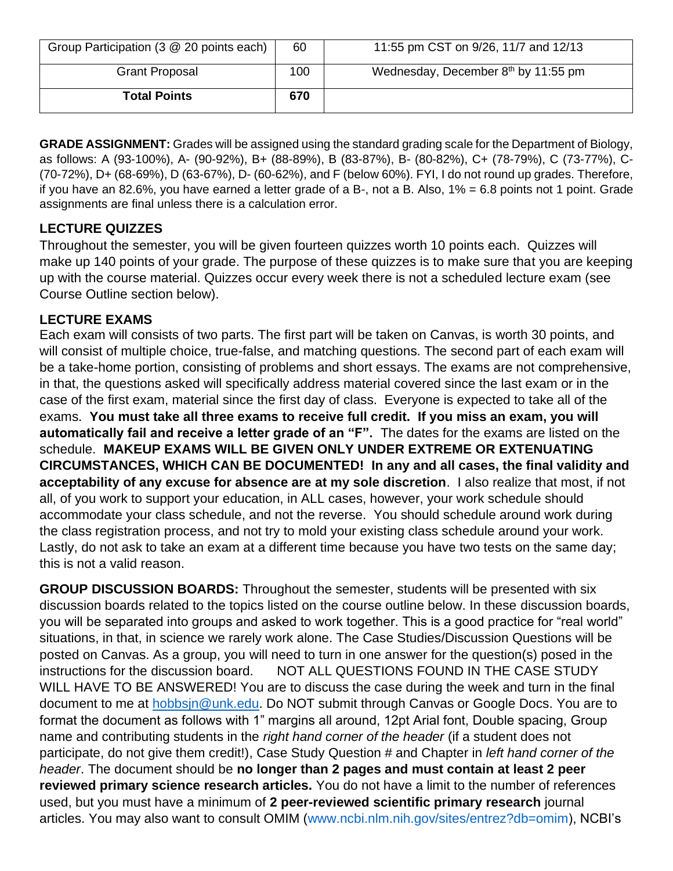| Group Participation (3 @ 20 points each) | 60  | 11:55 pm CST on 9/26, 11/7 and 12/13  |
|------------------------------------------|-----|---------------------------------------|
| <b>Grant Proposal</b>                    | 100 | Wednesday, December $8th$ by 11:55 pm |
| <b>Total Points</b>                      | 670 |                                       |

**GRADE ASSIGNMENT:** Grades will be assigned using the standard grading scale for the Department of Biology, as follows: A (93-100%), A- (90-92%), B+ (88-89%), B (83-87%), B- (80-82%), C+ (78-79%), C (73-77%), C- (70-72%), D+ (68-69%), D (63-67%), D- (60-62%), and F (below 60%). FYI, I do not round up grades. Therefore, if you have an 82.6%, you have earned a letter grade of a B-, not a B. Also, 1% = 6.8 points not 1 point. Grade assignments are final unless there is a calculation error.

# **LECTURE QUIZZES**

Throughout the semester, you will be given fourteen quizzes worth 10 points each. Quizzes will make up 140 points of your grade. The purpose of these quizzes is to make sure that you are keeping up with the course material. Quizzes occur every week there is not a scheduled lecture exam (see Course Outline section below).

# **LECTURE EXAMS**

Each exam will consists of two parts. The first part will be taken on Canvas, is worth 30 points, and will consist of multiple choice, true-false, and matching questions. The second part of each exam will be a take-home portion, consisting of problems and short essays. The exams are not comprehensive, in that, the questions asked will specifically address material covered since the last exam or in the case of the first exam, material since the first day of class. Everyone is expected to take all of the exams. **You must take all three exams to receive full credit. If you miss an exam, you will automatically fail and receive a letter grade of an "F".** The dates for the exams are listed on the schedule. **MAKEUP EXAMS WILL BE GIVEN ONLY UNDER EXTREME OR EXTENUATING CIRCUMSTANCES, WHICH CAN BE DOCUMENTED! In any and all cases, the final validity and acceptability of any excuse for absence are at my sole discretion**. I also realize that most, if not all, of you work to support your education, in ALL cases, however, your work schedule should accommodate your class schedule, and not the reverse. You should schedule around work during the class registration process, and not try to mold your existing class schedule around your work. Lastly, do not ask to take an exam at a different time because you have two tests on the same day; this is not a valid reason.

**GROUP DISCUSSION BOARDS:** Throughout the semester, students will be presented with six discussion boards related to the topics listed on the course outline below. In these discussion boards, you will be separated into groups and asked to work together. This is a good practice for "real world" situations, in that, in science we rarely work alone. The Case Studies/Discussion Questions will be posted on Canvas. As a group, you will need to turn in one answer for the question(s) posed in the instructions for the discussion board. NOT ALL QUESTIONS FOUND IN THE CASE STUDY WILL HAVE TO BE ANSWERED! You are to discuss the case during the week and turn in the final document to me at [hobbsjn@unk.edu.](mailto:hobbsjn@unk.edu) Do NOT submit through Canvas or Google Docs. You are to format the document as follows with 1" margins all around, 12pt Arial font, Double spacing, Group name and contributing students in the *right hand corner of the header* (if a student does not participate, do not give them credit!), Case Study Question # and Chapter in *left hand corner of the header*. The document should be **no longer than 2 pages and must contain at least 2 peer reviewed primary science research articles.** You do not have a limit to the number of references used, but you must have a minimum of **2 peer-reviewed scientific primary research** journal articles. You may also want to consult OMIM [\(www.ncbi.nlm.nih.gov/sites/entrez?db=omim\)](http://www.ncbi.nlm.nih.gov/sites/entrez?db=omim), NCBI's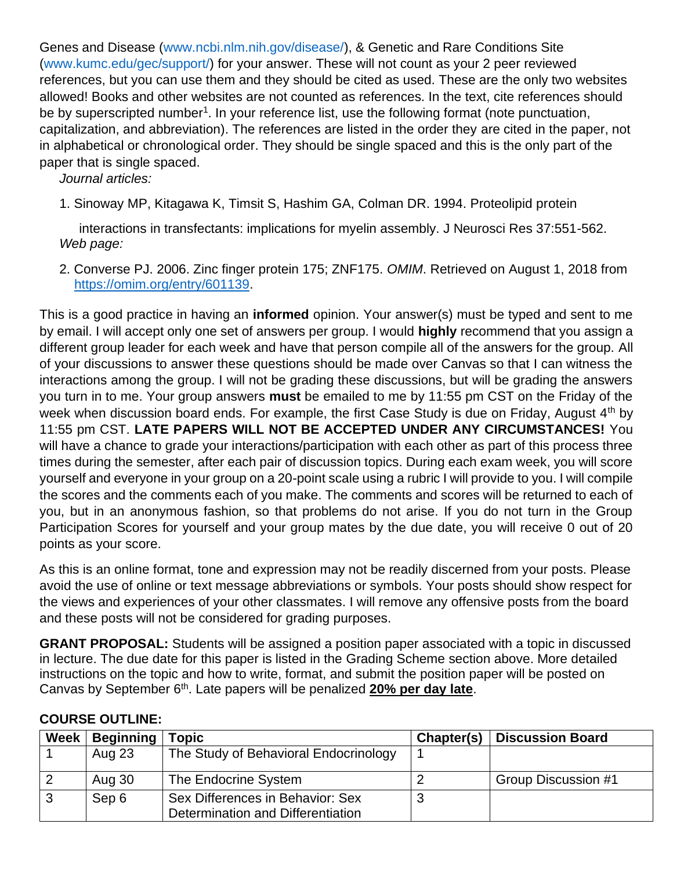Genes and Disease [\(www.ncbi.nlm.nih.gov/disease/\)](http://www.ncbi.nlm.nih.gov/disease/), & Genetic and Rare Conditions Site [\(www.kumc.edu/gec/support/\)](http://www.kumc.edu/gec/support/) for your answer. These will not count as your 2 peer reviewed references, but you can use them and they should be cited as used. These are the only two websites allowed! Books and other websites are not counted as references. In the text, cite references should be by superscripted number<sup>1</sup>. In your reference list, use the following format (note punctuation, capitalization, and abbreviation). The references are listed in the order they are cited in the paper, not in alphabetical or chronological order. They should be single spaced and this is the only part of the paper that is single spaced.

*Journal articles:*

1. Sinoway MP, Kitagawa K, Timsit S, Hashim GA, Colman DR. 1994. Proteolipid protein

interactions in transfectants: implications for myelin assembly. J Neurosci Res 37:551-562. *Web page:*

2. Converse PJ. 2006. Zinc finger protein 175; ZNF175. *OMIM*. Retrieved on August 1, 2018 from [https://omim.org/entry/601139.](https://omim.org/entry/601139)

This is a good practice in having an **informed** opinion. Your answer(s) must be typed and sent to me by email. I will accept only one set of answers per group. I would **highly** recommend that you assign a different group leader for each week and have that person compile all of the answers for the group. All of your discussions to answer these questions should be made over Canvas so that I can witness the interactions among the group. I will not be grading these discussions, but will be grading the answers you turn in to me. Your group answers **must** be emailed to me by 11:55 pm CST on the Friday of the week when discussion board ends. For example, the first Case Study is due on Friday, August 4<sup>th</sup> by 11:55 pm CST. **LATE PAPERS WILL NOT BE ACCEPTED UNDER ANY CIRCUMSTANCES!** You will have a chance to grade your interactions/participation with each other as part of this process three times during the semester, after each pair of discussion topics. During each exam week, you will score yourself and everyone in your group on a 20-point scale using a rubric I will provide to you. I will compile the scores and the comments each of you make. The comments and scores will be returned to each of you, but in an anonymous fashion, so that problems do not arise. If you do not turn in the Group Participation Scores for yourself and your group mates by the due date, you will receive 0 out of 20 points as your score.

As this is an online format, tone and expression may not be readily discerned from your posts. Please avoid the use of online or text message abbreviations or symbols. Your posts should show respect for the views and experiences of your other classmates. I will remove any offensive posts from the board and these posts will not be considered for grading purposes.

**GRANT PROPOSAL:** Students will be assigned a position paper associated with a topic in discussed in lecture. The due date for this paper is listed in the Grading Scheme section above. More detailed instructions on the topic and how to write, format, and submit the position paper will be posted on Canvas by September 6<sup>th</sup>. Late papers will be penalized 20% per day late.

| <b>Week</b> | <b>Beginning</b> | opic <sup>.</sup>                                                     | Chapter(s) | <b>Discussion Board</b> |
|-------------|------------------|-----------------------------------------------------------------------|------------|-------------------------|
|             | Aug 23           | The Study of Behavioral Endocrinology                                 |            |                         |
|             | Aug 30           | The Endocrine System                                                  |            | Group Discussion #1     |
| 3           | Sep 6            | Sex Differences in Behavior: Sex<br>Determination and Differentiation | 3          |                         |

# **COURSE OUTLINE:**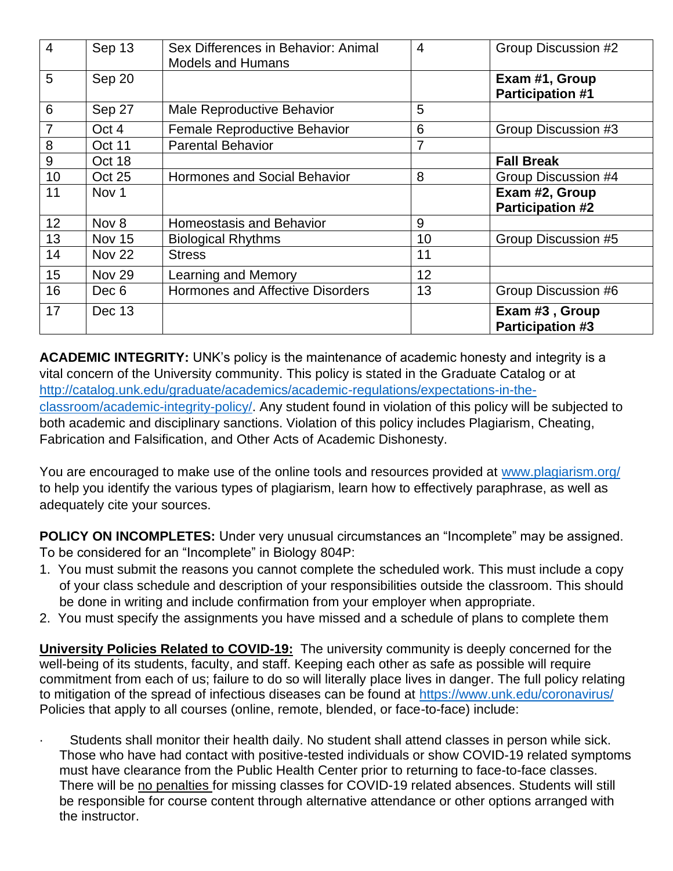| $\overline{4}$ | Sep 13        | Sex Differences in Behavior: Animal<br><b>Models and Humans</b> | $\overline{4}$ | <b>Group Discussion #2</b>                |
|----------------|---------------|-----------------------------------------------------------------|----------------|-------------------------------------------|
| 5              | Sep 20        |                                                                 |                | Exam #1, Group<br><b>Participation #1</b> |
| 6              | Sep 27        | Male Reproductive Behavior                                      | 5              |                                           |
|                | Oct 4         | <b>Female Reproductive Behavior</b>                             | 6              | Group Discussion #3                       |
| 8              | <b>Oct 11</b> | <b>Parental Behavior</b>                                        | 7              |                                           |
| 9              | Oct 18        |                                                                 |                | <b>Fall Break</b>                         |
| 10             | <b>Oct 25</b> | <b>Hormones and Social Behavior</b>                             | 8              | Group Discussion #4                       |
| 11             | Nov 1         |                                                                 |                | Exam #2, Group                            |
|                |               |                                                                 |                | <b>Participation #2</b>                   |
| 12             | Nov 8         | <b>Homeostasis and Behavior</b>                                 | 9              |                                           |
| 13             | <b>Nov 15</b> | <b>Biological Rhythms</b>                                       | 10             | Group Discussion #5                       |
| 14             | <b>Nov 22</b> | <b>Stress</b>                                                   | 11             |                                           |
| 15             | <b>Nov 29</b> | Learning and Memory                                             | 12             |                                           |
| 16             | Dec 6         | Hormones and Affective Disorders                                | 13             | Group Discussion #6                       |
| 17             | Dec 13        |                                                                 |                | Exam #3, Group<br><b>Participation #3</b> |

**ACADEMIC INTEGRITY:** UNK's policy is the maintenance of academic honesty and integrity is a vital concern of the University community. This policy is stated in the Graduate Catalog or at [http://catalog.unk.edu/graduate/academics/academic-regulations/expectations-in-the](http://catalog.unk.edu/graduate/academics/academic-regulations/expectations-in-the-classroom/academic-integrity-policy/)[classroom/academic-integrity-policy/.](http://catalog.unk.edu/graduate/academics/academic-regulations/expectations-in-the-classroom/academic-integrity-policy/) Any student found in violation of this policy will be subjected to both academic and disciplinary sanctions. Violation of this policy includes Plagiarism, Cheating, Fabrication and Falsification, and Other Acts of Academic Dishonesty.

You are encouraged to make use of the online tools and resources provided at [www.plagiarism.org/](http://www.plagiarism.org/) to help you identify the various types of plagiarism, learn how to effectively paraphrase, as well as adequately cite your sources.

**POLICY ON INCOMPLETES:** Under very unusual circumstances an "Incomplete" may be assigned. To be considered for an "Incomplete" in Biology 804P:

- 1. You must submit the reasons you cannot complete the scheduled work. This must include a copy of your class schedule and description of your responsibilities outside the classroom. This should be done in writing and include confirmation from your employer when appropriate.
- 2. You must specify the assignments you have missed and a schedule of plans to complete them

**University Policies Related to COVID-19:** The university community is deeply concerned for the well-being of its students, faculty, and staff. Keeping each other as safe as possible will require commitment from each of us; failure to do so will literally place lives in danger. The full policy relating to mitigation of the spread of infectious diseases can be found at<https://www.unk.edu/coronavirus/> Policies that apply to all courses (online, remote, blended, or face-to-face) include:

Students shall monitor their health daily. No student shall attend classes in person while sick. Those who have had contact with positive-tested individuals or show COVID-19 related symptoms must have clearance from the Public Health Center prior to returning to face-to-face classes. There will be no penalties for missing classes for COVID-19 related absences. Students will still be responsible for course content through alternative attendance or other options arranged with the instructor.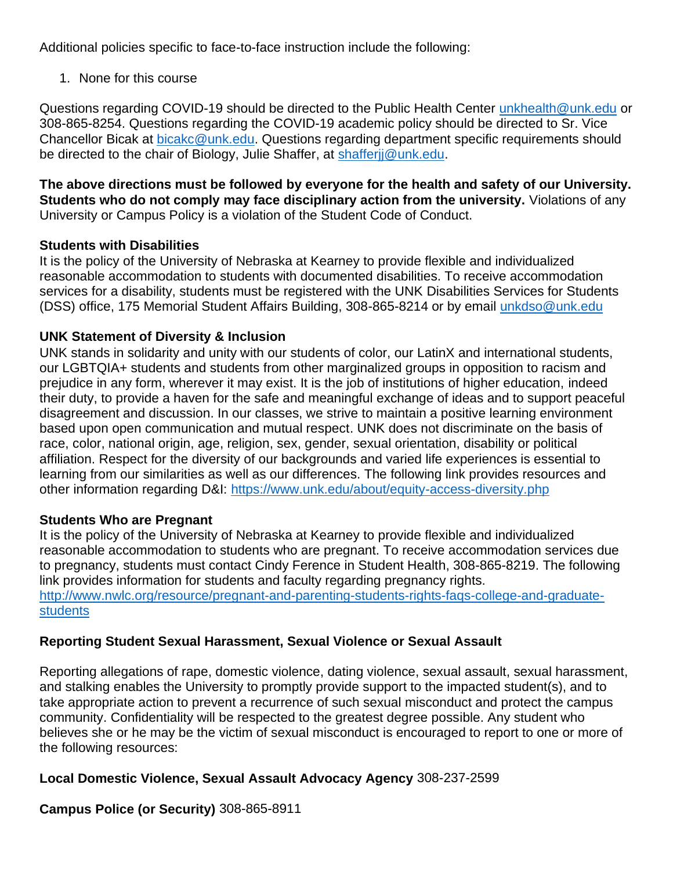Additional policies specific to face-to-face instruction include the following:

1. None for this course

Questions regarding COVID-19 should be directed to the Public Health Center [unkhealth@unk.edu](mailto:unkhealth@unk.edu) or 308-865-8254. Questions regarding the COVID-19 academic policy should be directed to Sr. Vice Chancellor Bicak at [bicakc@unk.edu.](mailto:bicakc@unk.edu) Questions regarding department specific requirements should be directed to the chair of Biology, Julie Shaffer, at [shafferjj@unk.edu.](mailto:shafferjj@unk.edu)

**The above directions must be followed by everyone for the health and safety of our University. Students who do not comply may face disciplinary action from the university.** Violations of any University or Campus Policy is a violation of the Student Code of Conduct.

#### **Students with Disabilities**

It is the policy of the University of Nebraska at Kearney to provide flexible and individualized reasonable accommodation to students with documented disabilities. To receive accommodation services for a disability, students must be registered with the UNK Disabilities Services for Students (DSS) office, 175 Memorial Student Affairs Building, 308-865-8214 or by email [unkdso@unk.edu](mailto:unkdso@unk.edu)

#### **UNK Statement of Diversity & Inclusion**

UNK stands in solidarity and unity with our students of color, our LatinX and international students, our LGBTQIA+ students and students from other marginalized groups in opposition to racism and prejudice in any form, wherever it may exist. It is the job of institutions of higher education, indeed their duty, to provide a haven for the safe and meaningful exchange of ideas and to support peaceful disagreement and discussion. In our classes, we strive to maintain a positive learning environment based upon open communication and mutual respect. UNK does not discriminate on the basis of race, color, national origin, age, religion, sex, gender, sexual orientation, disability or political affiliation. Respect for the diversity of our backgrounds and varied life experiences is essential to learning from our similarities as well as our differences. The following link provides resources and other information regarding D&I:<https://www.unk.edu/about/equity-access-diversity.php>

### **Students Who are Pregnant**

It is the policy of the University of Nebraska at Kearney to provide flexible and individualized reasonable accommodation to students who are pregnant. To receive accommodation services due to pregnancy, students must contact Cindy Ference in Student Health, 308-865-8219. The following link provides information for students and faculty regarding pregnancy rights. [http://www.nwlc.org/resource/pregnant-and-parenting-students-rights-faqs-college-and-graduate](https://urldefense.proofpoint.com/v2/url?u=http-3A__www.nwlc.org_resource_pregnant-2Dand-2Dparenting-2Dstudents-2Drights-2Dfaqs-2Dcollege-2Dand-2Dgraduate-2Dstudents&d=DwMFAg&c=Cu5g146wZdoqVuKpTNsYHeFX_rg6kWhlkLF8Eft-wwo&r=BJkIhAaMtWY7PlqIhIOyVw&m=RgBL3s2VNHfvD5ReMK2q_PhwYU8dbEt1vxs1BO4WkpQ&s=MmB91XAzaW-E7UPMXPGx9tWJQbTWJYyYzM8gLjhEzQ0&e=)[students](https://urldefense.proofpoint.com/v2/url?u=http-3A__www.nwlc.org_resource_pregnant-2Dand-2Dparenting-2Dstudents-2Drights-2Dfaqs-2Dcollege-2Dand-2Dgraduate-2Dstudents&d=DwMFAg&c=Cu5g146wZdoqVuKpTNsYHeFX_rg6kWhlkLF8Eft-wwo&r=BJkIhAaMtWY7PlqIhIOyVw&m=RgBL3s2VNHfvD5ReMK2q_PhwYU8dbEt1vxs1BO4WkpQ&s=MmB91XAzaW-E7UPMXPGx9tWJQbTWJYyYzM8gLjhEzQ0&e=)

### **Reporting Student Sexual Harassment, Sexual Violence or Sexual Assault**

Reporting allegations of rape, domestic violence, dating violence, sexual assault, sexual harassment, and stalking enables the University to promptly provide support to the impacted student(s), and to take appropriate action to prevent a recurrence of such sexual misconduct and protect the campus community. Confidentiality will be respected to the greatest degree possible. Any student who believes she or he may be the victim of sexual misconduct is encouraged to report to one or more of the following resources:

#### **Local Domestic Violence, Sexual Assault Advocacy Agency** 308-237-2599

**Campus Police (or Security)** 308-865-8911